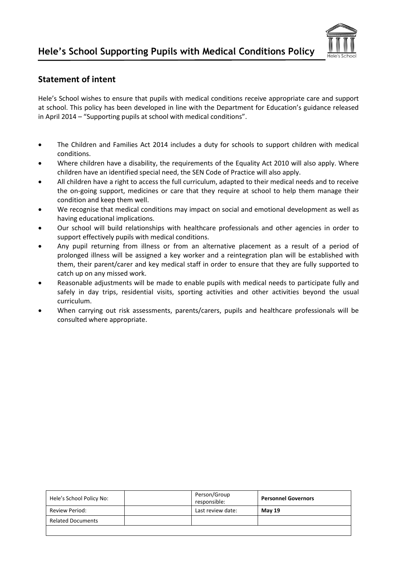

### **Statement of intent**

Hele's School wishes to ensure that pupils with medical conditions receive appropriate care and support at school. This policy has been developed in line with the Department for Education's guidance released in April 2014 – "Supporting pupils at school with medical conditions".

- The Children and Families Act 2014 includes a duty for schools to support children with medical conditions.
- Where children have a disability, the requirements of the Equality Act 2010 will also apply. Where children have an identified special need, the SEN Code of Practice will also apply.
- All children have a right to access the full curriculum, adapted to their medical needs and to receive the on-going support, medicines or care that they require at school to help them manage their condition and keep them well.
- We recognise that medical conditions may impact on social and emotional development as well as having educational implications.
- Our school will build relationships with healthcare professionals and other agencies in order to support effectively pupils with medical conditions.
- Any pupil returning from illness or from an alternative placement as a result of a period of prolonged illness will be assigned a key worker and a reintegration plan will be established with them, their parent/carer and key medical staff in order to ensure that they are fully supported to catch up on any missed work.
- Reasonable adjustments will be made to enable pupils with medical needs to participate fully and safely in day trips, residential visits, sporting activities and other activities beyond the usual curriculum.
- When carrying out risk assessments, parents/carers, pupils and healthcare professionals will be consulted where appropriate.

| Hele's School Policy No: | Person/Group<br>responsible: | <b>Personnel Governors</b> |
|--------------------------|------------------------------|----------------------------|
| Review Period:           | Last review date:            | <b>May 19</b>              |
| <b>Related Documents</b> |                              |                            |
|                          |                              |                            |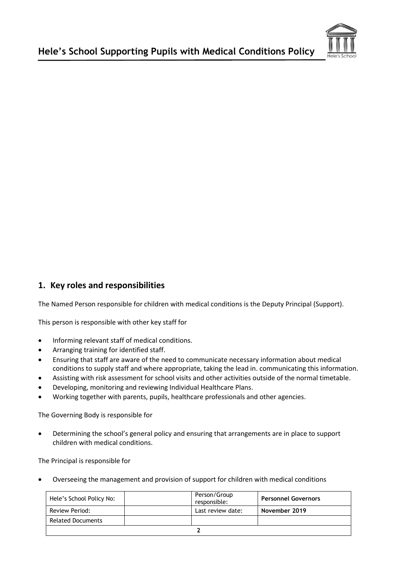

### **1. Key roles and responsibilities**

The Named Person responsible for children with medical conditions is the Deputy Principal (Support).

This person is responsible with other key staff for

- Informing relevant staff of medical conditions.
- Arranging training for identified staff.
- Ensuring that staff are aware of the need to communicate necessary information about medical conditions to supply staff and where appropriate, taking the lead in. communicating this information.
- Assisting with risk assessment for school visits and other activities outside of the normal timetable.
- Developing, monitoring and reviewing Individual Healthcare Plans.
- Working together with parents, pupils, healthcare professionals and other agencies.

The Governing Body is responsible for

• Determining the school's general policy and ensuring that arrangements are in place to support children with medical conditions.

The Principal is responsible for

• Overseeing the management and provision of support for children with medical conditions

| Hele's School Policy No: | Person/Group<br>responsible: | <b>Personnel Governors</b> |
|--------------------------|------------------------------|----------------------------|
| Review Period:           | Last review date:            | November 2019              |
| <b>Related Documents</b> |                              |                            |
|                          |                              |                            |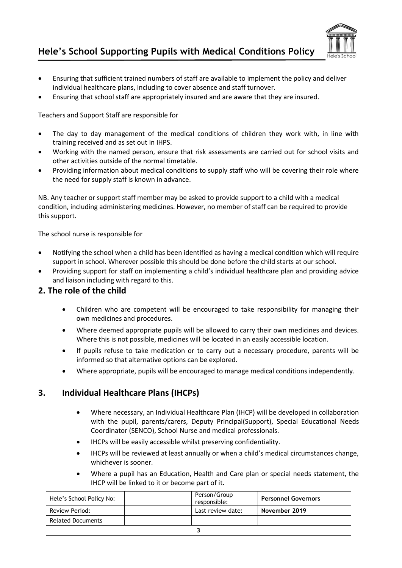

- Ensuring that sufficient trained numbers of staff are available to implement the policy and deliver individual healthcare plans, including to cover absence and staff turnover.
- Ensuring that school staff are appropriately insured and are aware that they are insured.

#### Teachers and Support Staff are responsible for

- The day to day management of the medical conditions of children they work with, in line with training received and as set out in IHPS.
- Working with the named person, ensure that risk assessments are carried out for school visits and other activities outside of the normal timetable.
- Providing information about medical conditions to supply staff who will be covering their role where the need for supply staff is known in advance.

NB. Any teacher or support staff member may be asked to provide support to a child with a medical condition, including administering medicines. However, no member of staff can be required to provide this support.

The school nurse is responsible for

- Notifying the school when a child has been identified as having a medical condition which will require support in school. Wherever possible this should be done before the child starts at our school.
- Providing support for staff on implementing a child's individual healthcare plan and providing advice and liaison including with regard to this.

### **2. The role of the child**

- Children who are competent will be encouraged to take responsibility for managing their own medicines and procedures.
- Where deemed appropriate pupils will be allowed to carry their own medicines and devices. Where this is not possible, medicines will be located in an easily accessible location.
- If pupils refuse to take medication or to carry out a necessary procedure, parents will be informed so that alternative options can be explored.
- Where appropriate, pupils will be encouraged to manage medical conditions independently.

### **3. Individual Healthcare Plans (IHCPs)**

- Where necessary, an Individual Healthcare Plan (IHCP) will be developed in collaboration with the pupil, parents/carers, Deputy Principal(Support), Special Educational Needs Coordinator (SENCO), School Nurse and medical professionals.
- IHCPs will be easily accessible whilst preserving confidentiality.
- IHCPs will be reviewed at least annually or when a child's medical circumstances change, whichever is sooner.
- Where a pupil has an Education, Health and Care plan or special needs statement, the IHCP will be linked to it or become part of it.

| Hele's School Policy No: | Person/Group<br>responsible: | <b>Personnel Governors</b> |
|--------------------------|------------------------------|----------------------------|
| Review Period:           | Last review date:            | November 2019              |
| Related Documents        |                              |                            |
|                          |                              |                            |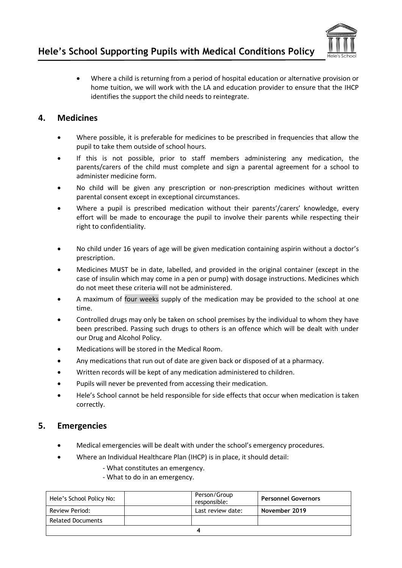

• Where a child is returning from a period of hospital education or alternative provision or home tuition, we will work with the LA and education provider to ensure that the IHCP identifies the support the child needs to reintegrate.

### **4. Medicines**

- Where possible, it is preferable for medicines to be prescribed in frequencies that allow the pupil to take them outside of school hours.
- If this is not possible, prior to staff members administering any medication, the parents/carers of the child must complete and sign a [parental agreement for](#page-10-0) a school to [administer medicine](#page-10-0) form.
- No child will be given any prescription or non-prescription medicines without written parental consent except in exceptional circumstances.
- Where a pupil is prescribed medication without their parents'/carers' knowledge, every effort will be made to encourage the pupil to involve their parents while respecting their right to confidentiality.
- No child under 16 years of age will be given medication containing aspirin without a doctor's prescription.
- Medicines MUST be in date, labelled, and provided in the original container (except in the case of insulin which may come in a pen or pump) with dosage instructions. Medicines which do not meet these criteria will not be administered.
- A maximum of four weeks supply of the medication may be provided to the school at one time.
- Controlled drugs may only be taken on school premises by the individual to whom they have been prescribed. Passing such drugs to others is an offence which will be dealt with under our Drug and Alcohol Policy.
- Medications will be stored in the Medical Room.
- Any medications that run out of date are given back or disposed of at a pharmacy.
- Written records will be kept of any medication administered to children.
- Pupils will never be prevented from accessing their medication.
- Hele's School cannot be held responsible for side effects that occur when medication is taken correctly.

### **5. Emergencies**

- Medical emergencies will be dealt with under the school's emergency procedures.
- Where an Individual Healthcare Plan (IHCP) is in place, it should detail:
	- What constitutes an emergency.
	- What to do in an emergency.

| Hele's School Policy No: | Person/Group<br>responsible: | <b>Personnel Governors</b> |
|--------------------------|------------------------------|----------------------------|
| Review Period:           | Last review date:            | November 2019              |
| <b>Related Documents</b> |                              |                            |
|                          |                              |                            |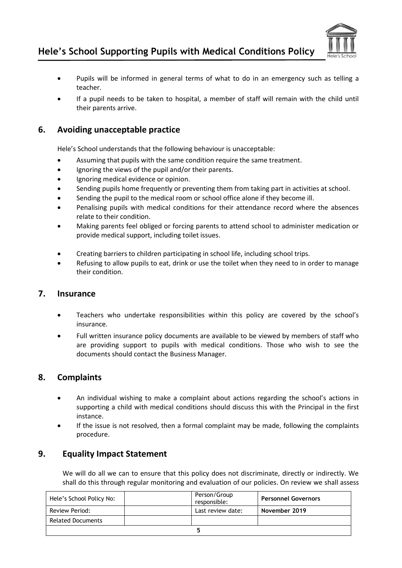

- Pupils will be informed in general terms of what to do in an emergency such as telling a teacher.
- If a pupil needs to be taken to hospital, a member of staff will remain with the child until their parents arrive.

### **6. Avoiding unacceptable practice**

Hele's School understands that the following behaviour is unacceptable:

- Assuming that pupils with the same condition require the same treatment.
- Ignoring the views of the pupil and/or their parents.
- Ignoring medical evidence or opinion.
- Sending pupils home frequently or preventing them from taking part in activities at school.
- Sending the pupil to the medical room or school office alone if they become ill.
- Penalising pupils with medical conditions for their attendance record where the absences relate to their condition.
- Making parents feel obliged or forcing parents to attend school to administer medication or provide medical support, including toilet issues.
- Creating barriers to children participating in school life, including school trips.
- Refusing to allow pupils to eat, drink or use the toilet when they need to in order to manage their condition.

#### **7. Insurance**

- Teachers who undertake responsibilities within this policy are covered by the school's insurance.
- Full written insurance policy documents are available to be viewed by members of staff who are providing support to pupils with medical conditions. Those who wish to see the documents should contact the Business Manager.

### **8. Complaints**

- An individual wishing to make a complaint about actions regarding the school's actions in supporting a child with medical conditions should discuss this with the Principal in the first instance.
- If the issue is not resolved, then a formal complaint may be made, following the complaints procedure.

### **9. Equality Impact Statement**

We will do all we can to ensure that this policy does not discriminate, directly or indirectly. We shall do this through regular monitoring and evaluation of our policies. On review we shall assess

| Hele's School Policy No: | Person/Group<br>responsible: | <b>Personnel Governors</b> |
|--------------------------|------------------------------|----------------------------|
| Review Period:           | Last review date:            | November 2019              |
| <b>Related Documents</b> |                              |                            |
|                          |                              |                            |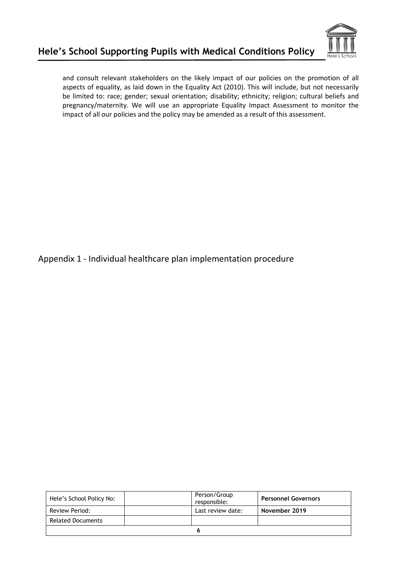and consult relevant stakeholders on the likely impact of our policies on the promotion of all aspects of equality, as laid down in the Equality Act (2010). This will include, but not necessarily be limited to: race; gender; sexual orientation; disability; ethnicity; religion; cultural beliefs and pregnancy/maternity. We will use an appropriate Equality Impact Assessment to monitor the impact of all our policies and the policy may be amended as a result of this assessment.

Appendix 1 - Individual healthcare plan implementation procedure

| Hele's School Policy No: | Person/Group<br>responsible: | <b>Personnel Governors</b> |
|--------------------------|------------------------------|----------------------------|
| Review Period:           | Last review date:            | November 2019              |
| <b>Related Documents</b> |                              |                            |
|                          |                              |                            |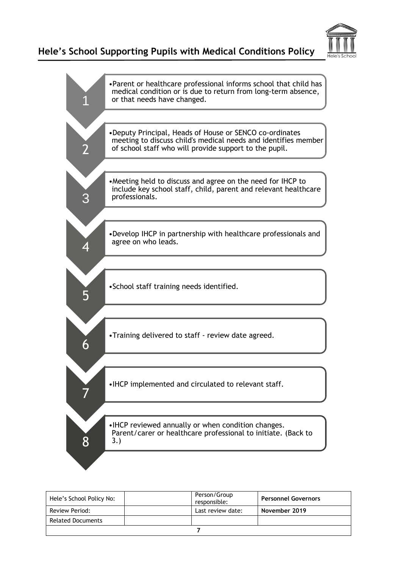



| Hele's School Policy No: | Person/Group<br>responsible: | <b>Personnel Governors</b> |
|--------------------------|------------------------------|----------------------------|
| Review Period:           | Last review date:            | November 2019              |
| <b>Related Documents</b> |                              |                            |
|                          |                              |                            |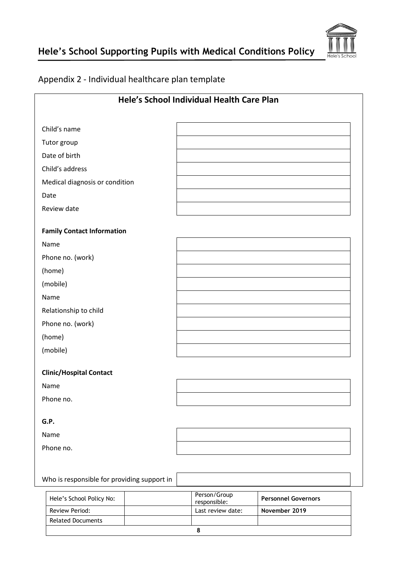

# Appendix 2 - Individual healthcare plan template

|                                             | Hele's School Individual Health Care Plan |                            |
|---------------------------------------------|-------------------------------------------|----------------------------|
| Child's name                                |                                           |                            |
| Tutor group                                 |                                           |                            |
| Date of birth                               |                                           |                            |
| Child's address                             |                                           |                            |
| Medical diagnosis or condition              |                                           |                            |
| Date                                        |                                           |                            |
| Review date                                 |                                           |                            |
| <b>Family Contact Information</b>           |                                           |                            |
| Name                                        |                                           |                            |
| Phone no. (work)                            |                                           |                            |
| (home)                                      |                                           |                            |
| (mobile)                                    |                                           |                            |
| Name                                        |                                           |                            |
| Relationship to child                       |                                           |                            |
| Phone no. (work)                            |                                           |                            |
| (home)                                      |                                           |                            |
| (mobile)                                    |                                           |                            |
|                                             |                                           |                            |
| <b>Clinic/Hospital Contact</b>              |                                           |                            |
| Name                                        |                                           |                            |
| Phone no.                                   |                                           |                            |
| G.P.                                        |                                           |                            |
| Name                                        |                                           |                            |
| Phone no.                                   |                                           |                            |
|                                             |                                           |                            |
| Who is responsible for providing support in |                                           |                            |
| Hele's School Policy No:                    | Person/Group<br>responsible:              | <b>Personnel Governors</b> |

| Hele's School Policy No: | Person/Group<br>responsible: | <b>Personnel Governors</b> |
|--------------------------|------------------------------|----------------------------|
| Review Period:           | Last review date:            | November 2019              |
| <b>Related Documents</b> |                              |                            |
|                          |                              |                            |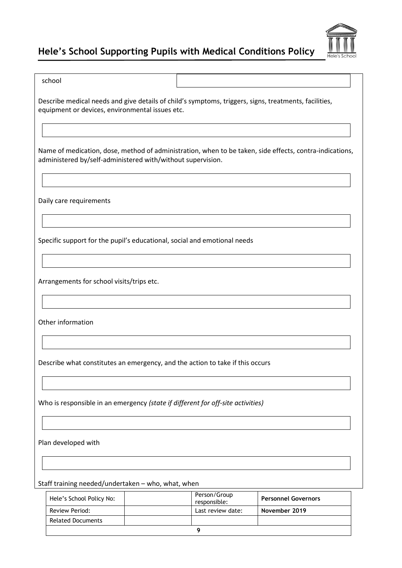

| school                                                                                                                                                   |  |  |                                   |                                                                                                         |  |
|----------------------------------------------------------------------------------------------------------------------------------------------------------|--|--|-----------------------------------|---------------------------------------------------------------------------------------------------------|--|
| Describe medical needs and give details of child's symptoms, triggers, signs, treatments, facilities,<br>equipment or devices, environmental issues etc. |  |  |                                   |                                                                                                         |  |
|                                                                                                                                                          |  |  |                                   |                                                                                                         |  |
| administered by/self-administered with/without supervision.                                                                                              |  |  |                                   | Name of medication, dose, method of administration, when to be taken, side effects, contra-indications, |  |
| Daily care requirements                                                                                                                                  |  |  |                                   |                                                                                                         |  |
|                                                                                                                                                          |  |  |                                   |                                                                                                         |  |
| Specific support for the pupil's educational, social and emotional needs                                                                                 |  |  |                                   |                                                                                                         |  |
|                                                                                                                                                          |  |  |                                   |                                                                                                         |  |
| Arrangements for school visits/trips etc.                                                                                                                |  |  |                                   |                                                                                                         |  |
|                                                                                                                                                          |  |  |                                   |                                                                                                         |  |
| Other information                                                                                                                                        |  |  |                                   |                                                                                                         |  |
|                                                                                                                                                          |  |  |                                   |                                                                                                         |  |
| Describe what constitutes an emergency, and the action to take if this occurs                                                                            |  |  |                                   |                                                                                                         |  |
|                                                                                                                                                          |  |  |                                   |                                                                                                         |  |
| Who is responsible in an emergency (state if different for off-site activities)                                                                          |  |  |                                   |                                                                                                         |  |
|                                                                                                                                                          |  |  |                                   |                                                                                                         |  |
| Plan developed with                                                                                                                                      |  |  |                                   |                                                                                                         |  |
|                                                                                                                                                          |  |  |                                   |                                                                                                         |  |
| Staff training needed/undertaken - who, what, when                                                                                                       |  |  |                                   |                                                                                                         |  |
| Hele's School Policy No:                                                                                                                                 |  |  | Person/Group                      | <b>Personnel Governors</b>                                                                              |  |
| <b>Review Period:</b>                                                                                                                                    |  |  | responsible:<br>Last review date: | November 2019                                                                                           |  |

**9**

Related Documents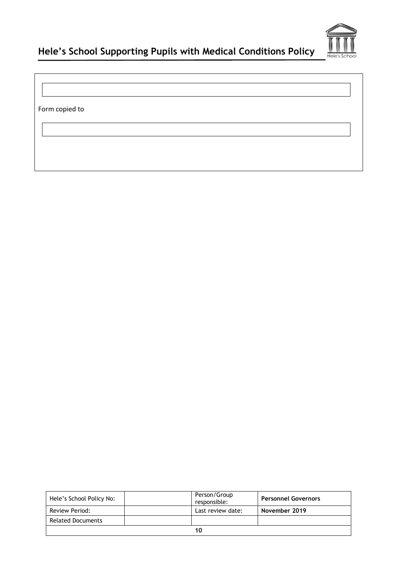

Form copied to

| Hele's School Policy No: | Person/Group<br>responsible: | <b>Personnel Governors</b> |
|--------------------------|------------------------------|----------------------------|
| Review Period:           | Last review date:            | November 2019              |
| <b>Related Documents</b> |                              |                            |
|                          | 10                           |                            |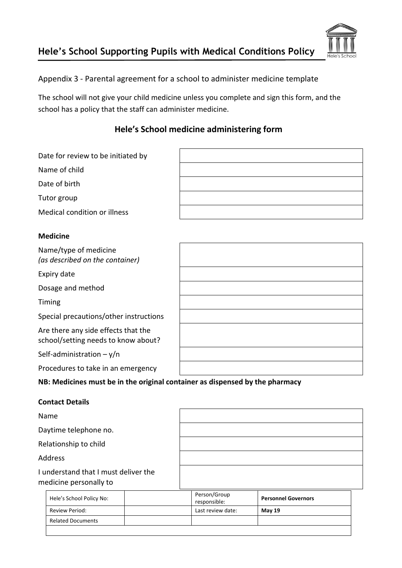



<span id="page-10-0"></span>Appendix 3 - Parental agreement for a school to administer medicine template

The school will not give your child medicine unless you complete and sign this form, and the school has a policy that the staff can administer medicine.

## **Hele's School medicine administering form**

| Date for review to be initiated by                                           |  |
|------------------------------------------------------------------------------|--|
| Name of child                                                                |  |
| Date of birth                                                                |  |
| Tutor group                                                                  |  |
| Medical condition or illness                                                 |  |
|                                                                              |  |
| <b>Medicine</b>                                                              |  |
| Name/type of medicine<br>(as described on the container)                     |  |
| Expiry date                                                                  |  |
| Dosage and method                                                            |  |
| Timing                                                                       |  |
| Special precautions/other instructions                                       |  |
| Are there any side effects that the<br>school/setting needs to know about?   |  |
| Self-administration $- y/n$                                                  |  |
| Procedures to take in an emergency                                           |  |
| NB: Medicines must be in the original container as dispensed by the pharmacy |  |

| <b>Contact Details</b> |
|------------------------|
|------------------------|

| Name                                                           |  |
|----------------------------------------------------------------|--|
| Daytime telephone no.                                          |  |
| Relationship to child                                          |  |
| <b>Address</b>                                                 |  |
| I understand that I must deliver the<br>medicine personally to |  |
|                                                                |  |

| Hele's School Policy No: | Person/Group<br>responsible: | <b>Personnel Governors</b> |
|--------------------------|------------------------------|----------------------------|
| Review Period:           | Last review date:            | <b>May 19</b>              |
| <b>Related Documents</b> |                              |                            |
|                          |                              |                            |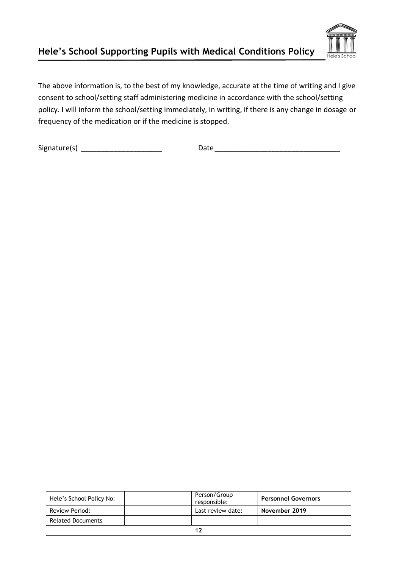

The above information is, to the best of my knowledge, accurate at the time of writing and I give consent to school/setting staff administering medicine in accordance with the school/setting policy. I will inform the school/setting immediately, in writing, if there is any change in dosage or frequency of the medication or if the medicine is stopped.

Signature(s) example and the Date of Date of the Date of the Second Second Second Second Second Second Second S

| Hele's School Policy No: | Person/Group<br>responsible: | <b>Personnel Governors</b> |
|--------------------------|------------------------------|----------------------------|
| Review Period:           | Last review date:            | November 2019              |
| <b>Related Documents</b> |                              |                            |
|                          |                              |                            |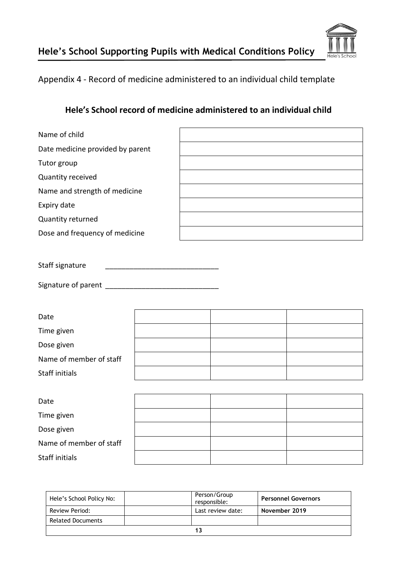

# Appendix 4 - Record of medicine administered to an individual child template

## **Hele's School record of medicine administered to an individual child**

| Name of child                    |  |  |  |
|----------------------------------|--|--|--|
| Date medicine provided by parent |  |  |  |
| Tutor group                      |  |  |  |
| Quantity received                |  |  |  |
| Name and strength of medicine    |  |  |  |
| Expiry date                      |  |  |  |
| Quantity returned                |  |  |  |
| Dose and frequency of medicine   |  |  |  |
|                                  |  |  |  |
| Staff signature                  |  |  |  |
|                                  |  |  |  |
| Date                             |  |  |  |
| Time given                       |  |  |  |
| Dose given                       |  |  |  |
| Name of member of staff          |  |  |  |
| <b>Staff initials</b>            |  |  |  |
|                                  |  |  |  |
| Date                             |  |  |  |
| Time given                       |  |  |  |
| Dose given                       |  |  |  |
| Name of member of staff          |  |  |  |
| <b>Staff initials</b>            |  |  |  |

| Hele's School Policy No: | Person/Group<br>responsible: | <b>Personnel Governors</b> |
|--------------------------|------------------------------|----------------------------|
| Review Period:           | Last review date:            | November 2019              |
| <b>Related Documents</b> |                              |                            |
|                          |                              |                            |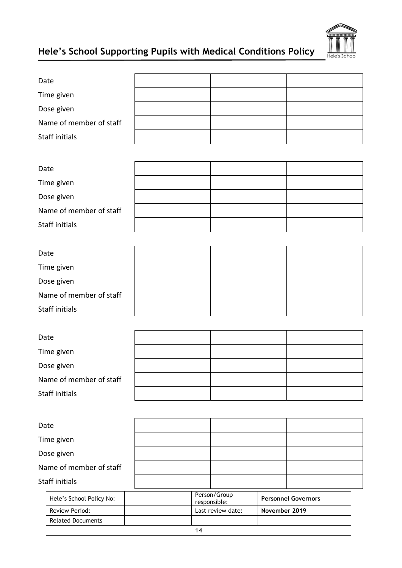

| Date |                          |  |                              |               |                            |  |
|------|--------------------------|--|------------------------------|---------------|----------------------------|--|
|      | Time given               |  |                              |               |                            |  |
|      | Dose given               |  |                              |               |                            |  |
|      | Name of member of staff  |  |                              |               |                            |  |
|      | Staff initials           |  |                              |               |                            |  |
|      |                          |  |                              |               |                            |  |
| Date |                          |  |                              |               |                            |  |
|      | Time given               |  |                              |               |                            |  |
|      | Dose given               |  |                              |               |                            |  |
|      | Name of member of staff  |  |                              |               |                            |  |
|      | <b>Staff initials</b>    |  |                              |               |                            |  |
|      |                          |  |                              |               |                            |  |
| Date |                          |  |                              |               |                            |  |
|      | Time given               |  |                              |               |                            |  |
|      | Dose given               |  |                              |               |                            |  |
|      | Name of member of staff  |  |                              |               |                            |  |
|      | <b>Staff initials</b>    |  |                              |               |                            |  |
|      |                          |  |                              |               |                            |  |
| Date |                          |  |                              |               |                            |  |
|      | Time given               |  |                              |               |                            |  |
|      | Dose given               |  |                              |               |                            |  |
|      | Name of member of staff  |  |                              |               |                            |  |
|      | <b>Staff initials</b>    |  |                              |               |                            |  |
|      |                          |  |                              |               |                            |  |
| Date |                          |  |                              |               |                            |  |
|      | Time given               |  |                              |               |                            |  |
|      | Dose given               |  |                              |               |                            |  |
|      | Name of member of staff  |  |                              |               |                            |  |
|      | <b>Staff initials</b>    |  |                              |               |                            |  |
|      | Hele's School Policy No: |  | Person/Group<br>responsible: |               | <b>Personnel Governors</b> |  |
|      | Review Period:           |  | Last review date:            | November 2019 |                            |  |

Related Documents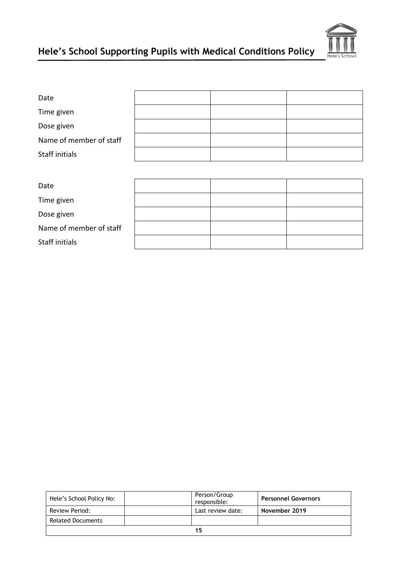

| Date                    |  |  |
|-------------------------|--|--|
| Time given              |  |  |
| Dose given              |  |  |
| Name of member of staff |  |  |
| <b>Staff initials</b>   |  |  |
|                         |  |  |
| Date                    |  |  |
| Time given              |  |  |
| Dose given              |  |  |
| Name of member of staff |  |  |
| Staff initials          |  |  |

| Hele's School Policy No: | Person/Group<br>responsible: | <b>Personnel Governors</b> |
|--------------------------|------------------------------|----------------------------|
| <b>Review Period:</b>    | Last review date:            | November 2019              |
| <b>Related Documents</b> |                              |                            |
|                          | 15                           |                            |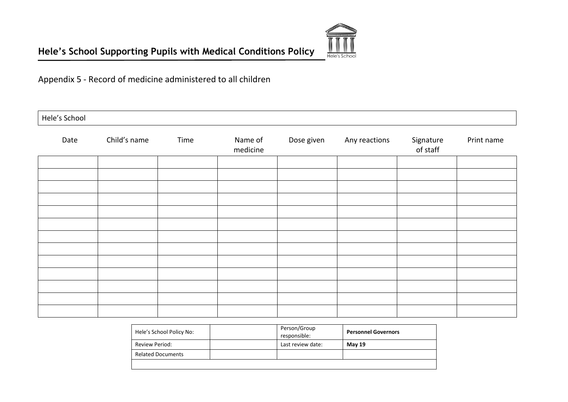

# Appendix 5 - Record of medicine administered to all children

| Hele's School |              |      |                     |            |               |                       |            |
|---------------|--------------|------|---------------------|------------|---------------|-----------------------|------------|
| Date          | Child's name | Time | Name of<br>medicine | Dose given | Any reactions | Signature<br>of staff | Print name |
|               |              |      |                     |            |               |                       |            |
|               |              |      |                     |            |               |                       |            |
|               |              |      |                     |            |               |                       |            |
|               |              |      |                     |            |               |                       |            |
|               |              |      |                     |            |               |                       |            |
|               |              |      |                     |            |               |                       |            |
|               |              |      |                     |            |               |                       |            |
|               |              |      |                     |            |               |                       |            |
|               |              |      |                     |            |               |                       |            |
|               |              |      |                     |            |               |                       |            |
|               |              |      |                     |            |               |                       |            |
|               |              |      |                     |            |               |                       |            |
|               |              |      |                     |            |               |                       |            |

| Hele's School Policy No: | Person/Group<br>responsible: | <b>Personnel Governors</b> |
|--------------------------|------------------------------|----------------------------|
| Review Period:           | Last review date:            | May 19                     |
| <b>Related Documents</b> |                              |                            |
|                          |                              |                            |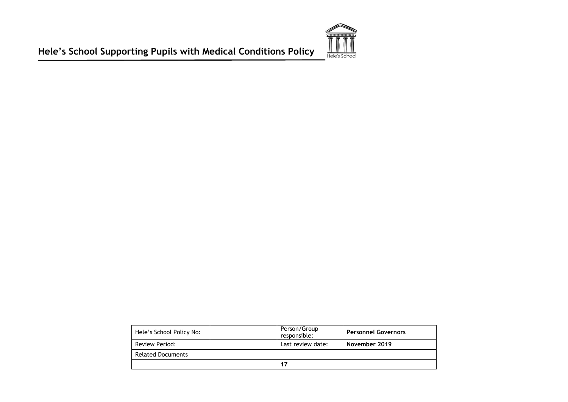

| Hele's School Policy No: |  | Person/Group<br>responsible: | <b>Personnel Governors</b> |  |
|--------------------------|--|------------------------------|----------------------------|--|
| Review Period:           |  | Last review date:            | November 2019              |  |
| <b>Related Documents</b> |  |                              |                            |  |
| 17                       |  |                              |                            |  |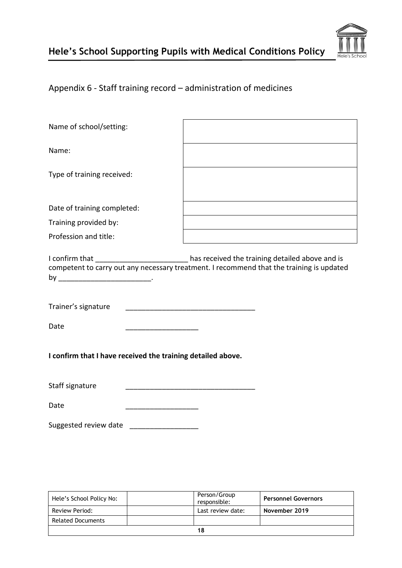

# Appendix 6 - Staff training record – administration of medicines

| Name of school/setting:                                                                                                                                                              |  |  |  |  |
|--------------------------------------------------------------------------------------------------------------------------------------------------------------------------------------|--|--|--|--|
| Name:                                                                                                                                                                                |  |  |  |  |
| Type of training received:                                                                                                                                                           |  |  |  |  |
| Date of training completed:                                                                                                                                                          |  |  |  |  |
| Training provided by:                                                                                                                                                                |  |  |  |  |
| Profession and title:                                                                                                                                                                |  |  |  |  |
| I confirm that _________________________ has received the training detailed above and is<br>competent to carry out any necessary treatment. I recommend that the training is updated |  |  |  |  |
| Trainer's signature                                                                                                                                                                  |  |  |  |  |
| Date                                                                                                                                                                                 |  |  |  |  |
| I confirm that I have received the training detailed above.                                                                                                                          |  |  |  |  |
| Staff signature                                                                                                                                                                      |  |  |  |  |
| Date                                                                                                                                                                                 |  |  |  |  |
| Suggested review date _________________                                                                                                                                              |  |  |  |  |
|                                                                                                                                                                                      |  |  |  |  |

| Hele's School Policy No: |  | Person/Group<br>responsible: | <b>Personnel Governors</b> |
|--------------------------|--|------------------------------|----------------------------|
| Review Period:           |  | Last review date:            | November 2019              |
| <b>Related Documents</b> |  |                              |                            |
| 18                       |  |                              |                            |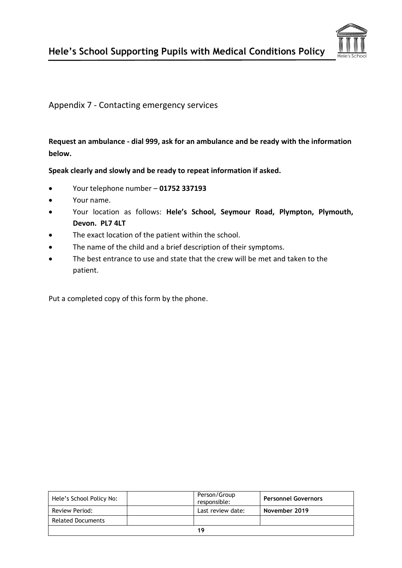

## Appendix 7 - Contacting emergency services

## **Request an ambulance - dial 999, ask for an ambulance and be ready with the information below.**

**Speak clearly and slowly and be ready to repeat information if asked.**

- Your telephone number **01752 337193**
- Your name.
- Your location as follows: **Hele's School, Seymour Road, Plympton, Plymouth, Devon. PL7 4LT**
- The exact location of the patient within the school.
- The name of the child and a brief description of their symptoms.
- The best entrance to use and state that the crew will be met and taken to the patient.

Put a completed copy of this form by the phone.

| Hele's School Policy No: | Person/Group<br>responsible: | <b>Personnel Governors</b> |  |
|--------------------------|------------------------------|----------------------------|--|
| <b>Review Period:</b>    | Last review date:            | November 2019              |  |
| <b>Related Documents</b> |                              |                            |  |
| 19                       |                              |                            |  |